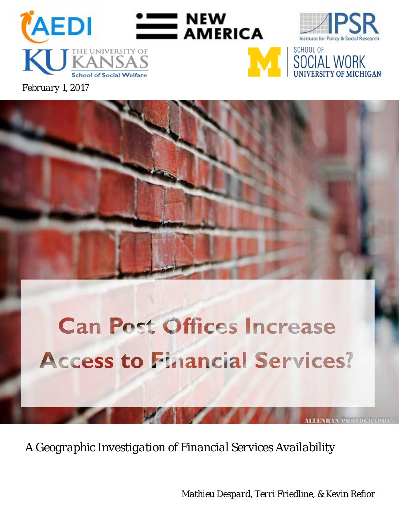

*February 1, 2017*

# **Can Post Offices Increase Access to Financial Services?**

*A Geographic Investigation of Financial Services Availability*

*Mathieu Despard, Terri Friedline, & Kevin Refior*

*ALLENBAN*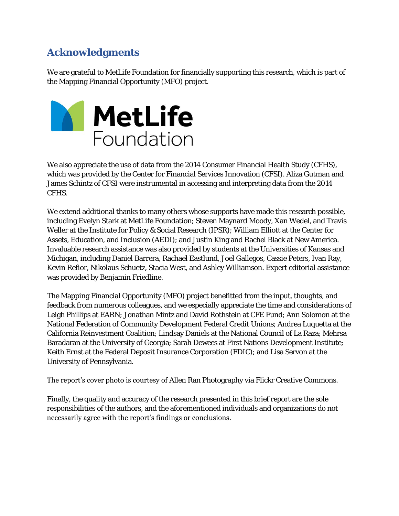## **Acknowledgments**

We are grateful to MetLife Foundation for financially supporting this research, which is part of the Mapping Financial Opportunity (MFO) project.



We also appreciate the use of data from the 2014 Consumer Financial Health Study (CFHS), which was provided by the Center for Financial Services Innovation (CFSI). Aliza Gutman and James Schintz of CFSI were instrumental in accessing and interpreting data from the 2014 CFHS.

We extend additional thanks to many others whose supports have made this research possible, including Evelyn Stark at MetLife Foundation; Steven Maynard Moody, Xan Wedel, and Travis Weller at the Institute for Policy & Social Research (IPSR); William Elliott at the Center for Assets, Education, and Inclusion (AEDI); and Justin King and Rachel Black at New America. Invaluable research assistance was also provided by students at the Universities of Kansas and Michigan, including Daniel Barrera, Rachael Eastlund, Joel Gallegos, Cassie Peters, Ivan Ray, Kevin Refior, Nikolaus Schuetz, Stacia West, and Ashley Williamson. Expert editorial assistance was provided by Benjamin Friedline.

The Mapping Financial Opportunity (MFO) project benefitted from the input, thoughts, and feedback from numerous colleagues, and we especially appreciate the time and considerations of Leigh Phillips at EARN; Jonathan Mintz and David Rothstein at CFE Fund; Ann Solomon at the National Federation of Community Development Federal Credit Unions; Andrea Luquetta at the California Reinvestment Coalition; Lindsay Daniels at the National Council of La Raza; Mehrsa Baradaran at the University of Georgia; Sarah Dewees at First Nations Development Institute; Keith Ernst at the Federal Deposit Insurance Corporation (FDIC); and Lisa Servon at the University of Pennsylvania.

The report's cover photo is courtesy of Allen Ran Photography via Flickr Creative Commons.

Finally, the quality and accuracy of the research presented in this brief report are the sole responsibilities of the authors, and the aforementioned individuals and organizations do not necessarily agree with the report's findings or conclusions.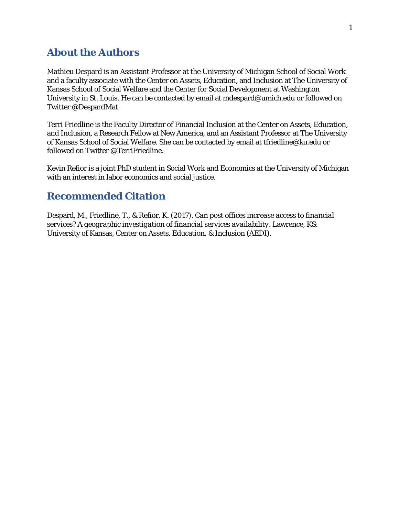#### **About the Authors**

Mathieu Despard is an Assistant Professor at the University of Michigan School of Social Work and a faculty associate with the Center on Assets, Education, and Inclusion at The University of Kansas School of Social Welfare and the Center for Social Development at Washington University in St. Louis. He can be contacted by email at mdespard@umich.edu or followed on Twitter @DespardMat.

Terri Friedline is the Faculty Director of Financial Inclusion at the Center on Assets, Education, and Inclusion, a Research Fellow at New America, and an Assistant Professor at The University of Kansas School of Social Welfare. She can be contacted by email at [tfriedline@ku.edu](mailto:tfriedline@ku.edu) or followed on Twitter @TerriFriedline.

Kevin Refior is a joint PhD student in Social Work and Economics at the University of Michigan with an interest in labor economics and social justice.

#### **Recommended Citation**

Despard, M., Friedline, T., & Refior, K. (2017). *Can post offices increase access to financial services? A geographic investigation of financial services availability*. Lawrence, KS: University of Kansas, Center on Assets, Education, & Inclusion (AEDI).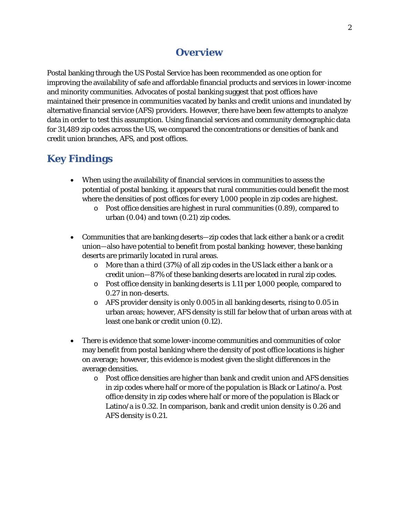## **Overview**

Postal banking through the US Postal Service has been recommended as one option for improving the availability of safe and affordable financial products and services in lower-income and minority communities. Advocates of postal banking suggest that post offices have maintained their presence in communities vacated by banks and credit unions and inundated by alternative financial service (AFS) providers. However, there have been few attempts to analyze data in order to test this assumption. Using financial services and community demographic data for 31,489 zip codes across the US, we compared the concentrations or densities of bank and credit union branches, AFS, and post offices.

# **Key Findings**

- When using the availability of financial services in communities to assess the potential of postal banking, it appears that rural communities could benefit the most where the densities of post offices for every 1,000 people in zip codes are highest.
	- o Post office densities are highest in rural communities (0.89), compared to urban (0.04) and town (0.21) zip codes.
- Communities that are banking deserts—zip codes that lack either a bank or a credit union—also have potential to benefit from postal banking; however, these banking deserts are primarily located in rural areas.
	- o More than a third (37%) of all zip codes in the US lack either a bank or a credit union—87% of these banking deserts are located in rural zip codes.
	- o Post office density in banking deserts is 1.11 per 1,000 people, compared to 0.27 in non-deserts.
	- o AFS provider density is only 0.005 in all banking deserts, rising to 0.05 in urban areas; however, AFS density is still far below that of urban areas with at least one bank or credit union (0.12).
- There is evidence that some lower-income communities and communities of color may benefit from postal banking where the density of post office locations is higher on average; however, this evidence is modest given the slight differences in the average densities.
	- o Post office densities are higher than bank and credit union and AFS densities in zip codes where half or more of the population is Black or Latino/a. Post office density in zip codes where half or more of the population is Black or Latino/a is 0.32. In comparison, bank and credit union density is 0.26 and AFS density is 0.21.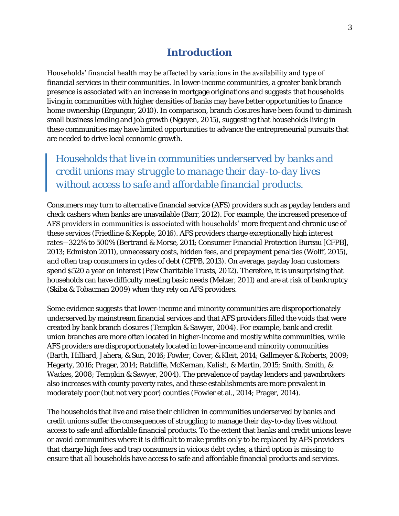## **Introduction**

Households' financial health may be affected by variations in the availability and type of financial services in their communities. In lower-income communities, a greater bank branch presence is associated with an increase in mortgage originations and suggests that households living in communities with higher densities of banks may have better opportunities to finance home ownership (Ergungor, 2010). In comparison, branch closures have been found to diminish small business lending and job growth (Nguyen, 2015), suggesting that households living in these communities may have limited opportunities to advance the entrepreneurial pursuits that are needed to drive local economic growth.

*Households that live in communities underserved by banks and credit unions may struggle to manage their day-to-day lives without access to safe and affordable financial products.*

Consumers may turn to alternative financial service (AFS) providers such as payday lenders and check cashers when banks are unavailable (Barr, 2012). For example, the increased presence of AFS providers in communities is associated with households' more frequent and chronic use of these services (Friedline & Kepple, 2016). AFS providers charge exceptionally high interest rates—322% to 500% (Bertrand & Morse, 2011; Consumer Financial Protection Bureau [CFPB], 2013; Edmiston 2011), unnecessary costs, hidden fees, and prepayment penalties (Wolff, 2015), and often trap consumers in cycles of debt (CFPB, 2013). On average, payday loan customers spend \$520 a year on interest (Pew Charitable Trusts, 2012). Therefore, it is unsurprising that households can have difficulty meeting basic needs (Melzer, 2011) and are at risk of bankruptcy (Skiba & Tobacman 2009) when they rely on AFS providers.

Some evidence suggests that lower-income and minority communities are disproportionately underserved by mainstream financial services and that AFS providers filled the voids that were created by bank branch closures (Tempkin & Sawyer, 2004). For example, bank and credit union branches are more often located in higher-income and mostly white communities, while AFS providers are disproportionately located in lower-income and minority communities (Barth, Hilliard, Jahera, & Sun, 2016; Fowler, Cover, & Kleit, 2014; Gallmeyer & Roberts, 2009; Hegerty, 2016; Prager, 2014; Ratcliffe, McKernan, Kalish, & Martin, 2015; Smith, Smith, & Wackes, 2008; Tempkin & Sawyer, 2004). The prevalence of payday lenders and pawnbrokers also increases with county poverty rates, and these establishments are more prevalent in moderately poor (but not very poor) counties (Fowler et al., 2014; Prager, 2014).

The households that live and raise their children in communities underserved by banks and credit unions suffer the consequences of struggling to manage their day-to-day lives without access to safe and affordable financial products. To the extent that banks and credit unions leave or avoid communities where it is difficult to make profits only to be replaced by AFS providers that charge high fees and trap consumers in vicious debt cycles, a third option is missing to ensure that all households have access to safe and affordable financial products and services.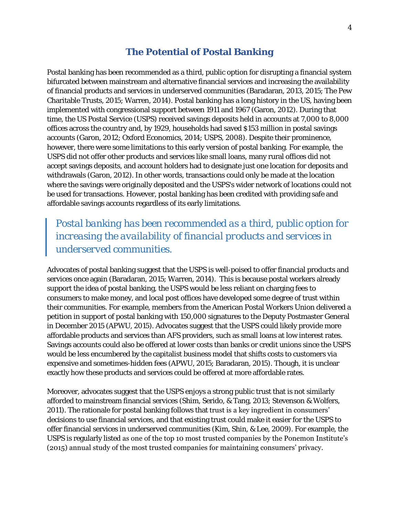#### **The Potential of Postal Banking**

Postal banking has been recommended as a third, public option for disrupting a financial system bifurcated between mainstream and alternative financial services and increasing the availability of financial products and services in underserved communities (Baradaran, 2013, 2015; The Pew Charitable Trusts, 2015; Warren, 2014). Postal banking has a long history in the US, having been implemented with congressional support between 1911 and 1967 (Garon, 2012). During that time, the US Postal Service (USPS) received savings deposits held in accounts at 7,000 to 8,000 offices across the country and, by 1929, households had saved \$153 million in postal savings accounts (Garon, 2012; Oxford Economics, 2014; USPS, 2008). Despite their prominence, however, there were some limitations to this early version of postal banking. For example, the USPS did not offer other products and services like small loans, many rural offices did not accept savings deposits, and account holders had to designate just one location for deposits and withdrawals (Garon, 2012). In other words, transactions could only be made at the location where the savings were originally deposited and the USPS's wider network of locations could not be used for transactions. However, postal banking has been credited with providing safe and affordable savings accounts regardless of its early limitations.

## *Postal banking has been recommended as a third, public option for increasing the availability of financial products and services in underserved communities.*

Advocates of postal banking suggest that the USPS is well-poised to offer financial products and services once again (Baradaran, 2015; Warren, 2014). This is because postal workers already support the idea of postal banking, the USPS would be less reliant on charging fees to consumers to make money, and local post offices have developed some degree of trust within their communities. For example, members from the American Postal Workers Union delivered a petition in support of postal banking with 150,000 signatures to the Deputy Postmaster General in December 2015 (APWU, 2015). Advocates suggest that the USPS could likely provide more affordable products and services than AFS providers, such as small loans at low interest rates. Savings accounts could also be offered at lower costs than banks or credit unions since the USPS would be less encumbered by the capitalist business model that shifts costs to customers via expensive and sometimes-hidden fees (APWU, 2015; Baradaran, 2015). Though, it is unclear exactly how these products and services could be offered at more affordable rates.

Moreover, advocates suggest that the USPS enjoys a strong public trust that is not similarly afforded to mainstream financial services (Shim, Serido, & Tang, 2013; Stevenson & Wolfers, 2011). The rationale for postal banking follows that trust is a key ingredient in consumers' decisions to use financial services, and that existing trust could make it easier for the USPS to offer financial services in underserved communities (Kim, Shin, & Lee, 2009). For example, the USPS is regularly listed as one of the top 10 most trusted companies by the Ponemon Institute's (2015) annual study of the most trusted companies for maintaining consumers' privacy.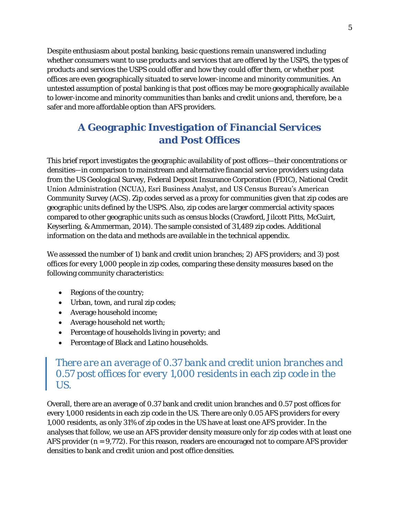Despite enthusiasm about postal banking, basic questions remain unanswered including whether consumers want to use products and services that are offered by the USPS, the types of products and services the USPS could offer and how they could offer them, or whether post offices are even geographically situated to serve lower-income and minority communities. An untested assumption of postal banking is that post offices may be more geographically available to lower-income and minority communities than banks and credit unions and, therefore, be a safer and more affordable option than AFS providers.

# **A Geographic Investigation of Financial Services and Post Offices**

This brief report investigates the geographic availability of post offices—their concentrations or densities—in comparison to mainstream and alternative financial service providers using data from the US Geological Survey, Federal Deposit Insurance Corporation (FDIC), National Credit Union Administration (NCUA), Esri Business Analyst, and US Census Bureau's American Community Survey (ACS). Zip codes served as a proxy for communities given that zip codes are geographic units defined by the USPS. Also, zip codes are larger commercial activity spaces compared to other geographic units such as census blocks (Crawford, Jilcott Pitts, McGuirt, Keyserling, & Ammerman, 2014). The sample consisted of 31,489 zip codes. Additional information on the data and methods are available in the technical appendix.

We assessed the number of 1) bank and credit union branches; 2) AFS providers; and 3) post offices for every 1,000 people in zip codes, comparing these density measures based on the following community characteristics:

- Regions of the country;
- Urban, town, and rural zip codes;
- Average household income;
- Average household net worth;
- Percentage of households living in poverty; and
- Percentage of Black and Latino households.

## *There are an average of 0.37 bank and credit union branches and 0.57 post offices for every 1,000 residents in each zip code in the US.*

Overall, there are an average of 0.37 bank and credit union branches and 0.57 post offices for every 1,000 residents in each zip code in the US. There are only 0.05 AFS providers for every 1,000 residents, as only 31% of zip codes in the US have at least one AFS provider. In the analyses that follow, we use an AFS provider density measure only for zip codes with at least one AFS provider (*n* = 9,772). For this reason, readers are encouraged not to compare AFS provider densities to bank and credit union and post office densities.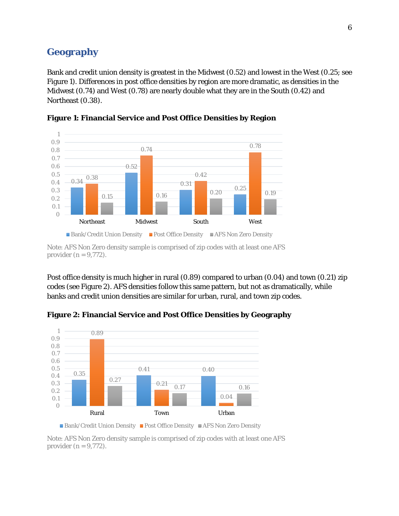#### **Geography**

Bank and credit union density is greatest in the Midwest (0.52) and lowest in the West (0.25; see Figure 1). Differences in post office densities by region are more dramatic, as densities in the Midwest (0.74) and West (0.78) are nearly double what they are in the South (0.42) and Northeast (0.38).





Post office density is much higher in rural (0.89) compared to urban (0.04) and town (0.21) zip codes (see Figure 2). AFS densities follow this same pattern, but not as dramatically, while banks and credit union densities are similar for urban, rural, and town zip codes.



**Figure 2: Financial Service and Post Office Densities by Geography** 



provider  $(n = 9, 772)$ .

*Note*: AFS Non Zero density sample is comprised of zip codes with at least one AFS provider (*n* = 9,772).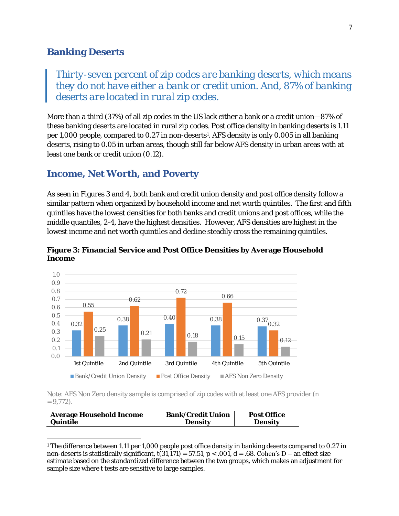#### **Banking Deserts**

*Thirty-seven percent of zip codes are banking deserts, which means they do not have either a bank or credit union. And, 87% of banking deserts are located in rural zip codes.* 

More than a third (37%) of all zip codes in the US lack either a bank or a credit union—87% of these banking deserts are located in rural zip codes. Post office density in banking deserts is 1.11 per 1,000 people, compared to 0.27 in non-deserts<sup>1</sup>. AFS density is only 0.005 in all banking deserts, rising to 0.05 in urban areas, though still far below AFS density in urban areas with at least one bank or credit union (0.12).

#### **Income, Net Worth, and Poverty**

As seen in Figures 3 and 4, both bank and credit union density and post office density follow a similar pattern when organized by household income and net worth quintiles. The first and fifth quintiles have the lowest densities for both banks and credit unions and post offices, while the middle quantiles, 2-4, have the highest densities. However, AFS densities are highest in the lowest income and net worth quintiles and decline steadily cross the remaining quintiles.



**Figure 3: Financial Service and Post Office Densities by Average Household Income** 

*Note*: AFS Non Zero density sample is comprised of zip codes with at least one AFS provider (*n*   $= 9,772$ ).

| Average Household Income | <b>Bank/Credit Union</b> | <b>Post Office</b> |
|--------------------------|--------------------------|--------------------|
| Quintile                 | Densitv                  | Density            |

 $\overline{\phantom{a}}$ 1 The difference between 1.11 per 1,000 people post office density in banking deserts compared to 0.27 in non-deserts is statistically significant,  $t(31,171) = 57.51$ ,  $p < .001$ ,  $d = .68$ . **Cohen's D** – an effect size estimate based on the standardized difference between the two groups, which makes an adjustment for sample size where t tests are sensitive to large samples.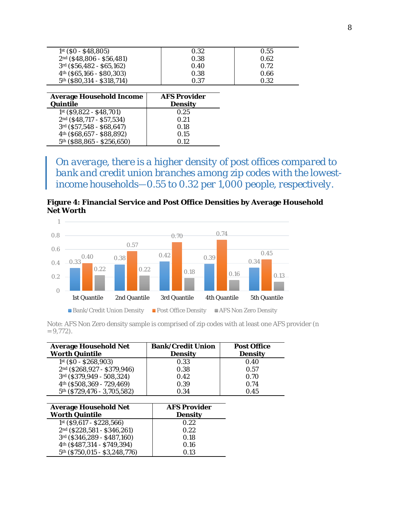| $1st$ (\$0 - \$48,805)                 | 0.32                | 0.55 |
|----------------------------------------|---------------------|------|
| 2nd (\$48,806 - \$56,481)              | 0.38                | 0.62 |
| 3rd (\$56,482 - \$65,162)              | 0.40                | 0.72 |
| $4th$ (\$65,166 - \$80,303)            | 0.38                | 0.66 |
| 5 <sup>th</sup> (\$80,314 - \$318,714) | 0.37                | 0.32 |
|                                        |                     |      |
| Average Household Income               | <b>AFS Provider</b> |      |
| Ouintile                               | Density             |      |
| $1st$ (\$9,822 - \$48,701)             | 0.25                |      |
| 2nd (\$48,717 - \$57,534)              | 0.21                |      |
| 3rd (\$57,548 - \$68,647)              | 0.18                |      |
| 4 <sup>th</sup> (\$68,657 - \$88,892)  | 0.15                |      |
| 5th (\$88,865 - \$256,650)             | 0.12                |      |

*On average, there is a higher density of post offices compared to bank and credit union branches among zip codes with the lowestincome households—0.55 to 0.32 per 1,000 people, respectively.* 

**Figure 4: Financial Service and Post Office Densities by Average Household Net Worth**



*Note*: AFS Non Zero density sample is comprised of zip codes with at least one AFS provider (*n*   $= 9,772$ .

| Average Household Net       | Bank/Credit Union | Post Office |
|-----------------------------|-------------------|-------------|
| Worth Quintile              | Density           | Density     |
| 1st (\$0 - \$268,903)       | O 33              | 0.40        |
| 2nd (\$268,927 - \$379,946) | 0.38              | 0.57        |
| 3rd (\$379,949 - 508,324)   | 0.42              | O 70        |
| 4th (\$508,369 - 729,469)   | 0.39              | 0.74        |
| 5th (\$729,476 - 3,705,582) | O 34              | O 45        |

| Average Household Net         | AFS Provider |
|-------------------------------|--------------|
| Worth Quintile                | Density      |
| 1st (\$9,617 - \$228,566)     | 0.22         |
| 2nd (\$228,581 - \$346,261)   | 0.22         |
| 3rd (\$346,289 - \$487,160)   | 0.18         |
| 4th (\$487,314 - \$749,394)   | 0.16         |
| 5th (\$750,015 - \$3,248,776) | O 13         |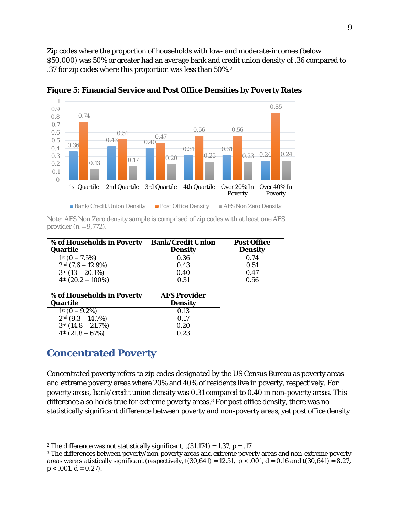Zip codes where the proportion of households with low- and moderate-incomes (below \$50,000) was 50% or greater had an average bank and credit union density of .36 compared to .37 for zip codes where this proportion was less than 50%.<sup>2</sup>



**Figure 5: Financial Service and Post Office Densities by Poverty Rates**

| Note: AFS Non Zero density sample is comprised of zip codes with at least one AFS |  |  |  |
|-----------------------------------------------------------------------------------|--|--|--|
| provider $(n = 9, 772)$ .                                                         |  |  |  |

| % of Households in Poverty | Bank/Credit Union | Post Office |
|----------------------------|-------------------|-------------|
| <b>Ouartile</b>            | Density           | Density     |
| $1st$ (0 - 7.5%)           | 0.36              | 0.74        |
| $2nd$ (7.6 - 12.9%)        | 0.43              | 0.51        |
| $3rd(13 - 20.1%)$          | 0.40              | 0.47        |
| $4th$ (20.2 - 100%)        | N 31              | 0.56        |

| % of Households in Poverty | AFS Provider |
|----------------------------|--------------|
| Quartile                   | Density      |
| $1st$ (0 – 9.2%)           | 0.13         |
| $2nd$ (9.3 - 14.7%)        | 0.17         |
| $3rd(14.8 - 21.7%)$        | 0.20         |
| $4th$ (21.8 - 67%)         | N 23         |

## **Concentrated Poverty**

Concentrated poverty refers to zip codes designated by the US Census Bureau as poverty areas and extreme poverty areas where 20% and 40% of residents live in poverty, respectively. For poverty areas, bank/credit union density was 0.31 compared to 0.40 in non-poverty areas. This difference also holds true for extreme poverty areas.<sup>3</sup> For post office density, there was no statistically significant difference between poverty and non-poverty areas, yet post office density

 $\overline{\phantom{a}}$ <sup>2</sup> The difference was not statistically significant, *t*(31,174) = 1.37, *p* = .17.

<sup>3</sup> The differences between poverty/non-poverty areas and extreme poverty areas and non-extreme poverty areas were statistically significant (respectively,  $t(30,641) = 12.51$ ,  $p < .001$ ,  $d = 0.16$  and  $t(30,641) = 8.27$ ,  $p < .001, d = 0.27$ ).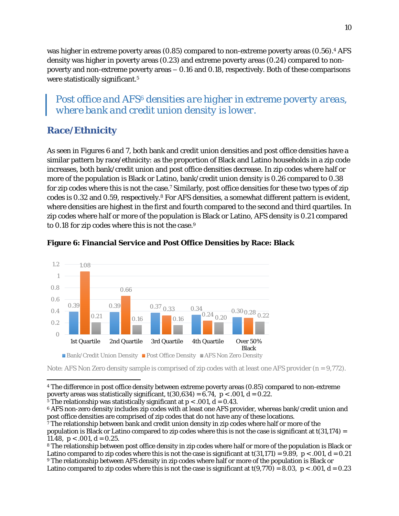was higher in extreme poverty areas (0.85) compared to non-extreme poverty areas (0.56).<sup>4</sup> AFS density was higher in poverty areas (0.23) and extreme poverty areas (0.24) compared to nonpoverty and non-extreme poverty areas – 0.16 and 0.18, respectively. Both of these comparisons were statistically significant.<sup>5</sup>

## *Post office and AFS6 densities are higher in extreme poverty areas, where bank and credit union density is lower.*

## **Race/Ethnicity**

As seen in Figures 6 and 7, both bank and credit union densities and post office densities have a similar pattern by race/ethnicity: as the proportion of Black and Latino households in a zip code increases, both bank/credit union and post office densities decrease. In zip codes where half or more of the population is Black or Latino, bank/credit union density is 0.26 compared to 0.38 for zip codes where this is not the case.<sup>7</sup> Similarly, post office densities for these two types of zip codes is 0.32 and 0.59, respectively.<sup>8</sup> For AFS densities, a somewhat different pattern is evident, where densities are highest in the first and fourth compared to the second and third quartiles. In zip codes where half or more of the population is Black or Latino, AFS density is 0.21 compared to 0.18 for zip codes where this is not the case.<sup>9</sup>



**Figure 6: Financial Service and Post Office Densities by Race: Black**

*Note*: AFS Non Zero density sample is comprised of zip codes with at least one AFS provider ( $n = 9,772$ ).

 $\overline{\phantom{a}}$ <sup>4</sup> The difference in post office density between extreme poverty areas (0.85) compared to non-extreme poverty areas was statistically significant,  $t(30,634) = 6.74$ ,  $p < .001$ ,  $d = 0.22$ .

<sup>5</sup> The relationship was statistically significant at  $p < .001$ ,  $d = 0.43$ .

<sup>6</sup> AFS non-zero density includes zip codes with at least one AFS provider, whereas bank/credit union and post office densities are comprised of zip codes that do not have any of these locations.

7 The relationship between bank and credit union density in zip codes where half or more of the population is Black or Latino compared to zip codes where this is not the case is significant at *t*(31,174) = 11.48,  $p < .001$ ,  $d = 0.25$ .

<sup>8</sup> The relationship between post office density in zip codes where half or more of the population is Black or Latino compared to zip codes where this is not the case is significant at  $t(31,171) = 9.89$ ,  $p < .001$ ,  $d = 0.21$ <sup>9</sup> The relationship between AFS density in zip codes where half or more of the population is Black or Latino compared to zip codes where this is not the case is significant at  $t(9,770) = 8.03$ ,  $p < .001$ ,  $d = 0.23$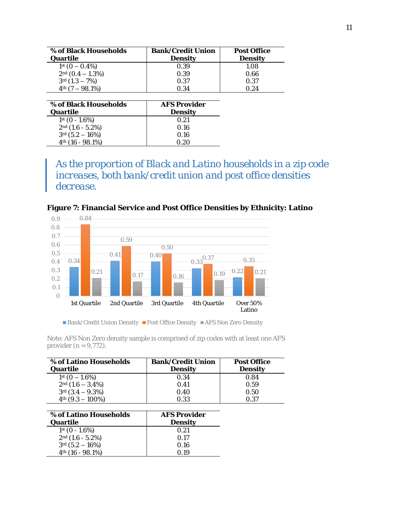| % of Black Households | Bank/Credit Union | Post Office |
|-----------------------|-------------------|-------------|
| Quartile              | Density           | Density     |
| $1st$ (0 – 0.4%)      | 0.39              | 1.08        |
| $2nd$ (0.4 - 1.3%)    | 0.39              | 0.66        |
| $3rd(1.3 - 7%)$       | O 37              | 0.37        |
| $4th$ (7 - 98.1%)     | O 34              | 0.24        |
|                       |                   |             |
| % of Black Households | AFS Provider      |             |

| % of Black Households | AFS Provider |
|-----------------------|--------------|
| Quartile              | Density      |
| $1st$ (0 - 1.6%)      | O 21         |
| $2nd$ (1.6 - 5.2%)    | 0.16         |
| $3rd (5.2 - 16%)$     | 0.16         |
| $4th$ (16 - 98.1%)    | N 20         |

*As the proportion of Black and Latino households in a zip code increases, both bank/credit union and post office densities decrease.* 



**Figure 7: Financial Service and Post Office Densities by Ethnicity: Latino**

■ Bank/Credit Union Density ■ Post Office Density ■ AFS Non Zero Density

*Note*: AFS Non Zero density sample is comprised of zip codes with at least one AFS provider (*n* = 9,772).

| % of Latino Households | Bank/Credit Union | Post Office |
|------------------------|-------------------|-------------|
| Quartile               | Density           | Density     |
| $1st$ (0 - 1.6%)       | 0.34              | 0.84        |
| $2nd$ (1.6 - 3.4%)     | 0.41              | 0.59        |
| $3rd(3.4 - 9.3%)$      | 0.40              | 0.50        |
| $4th$ (9.3 - 100%)     | 0.33              | O.37        |
|                        |                   |             |
| % of Latino Households | AFS Provider      |             |
|                        |                   |             |

| % of Latino Households       | AFS Provider |
|------------------------------|--------------|
| Quartile                     | Density      |
| $1st$ (0 - 1.6%)             | 0.21         |
| $2nd$ (1.6 - 5.2%)           | $\Omega$ 17  |
| $3rd (5.2 - 16%)$            | 0.16         |
| 4 <sup>th</sup> (16 - 98.1%) | 0.19         |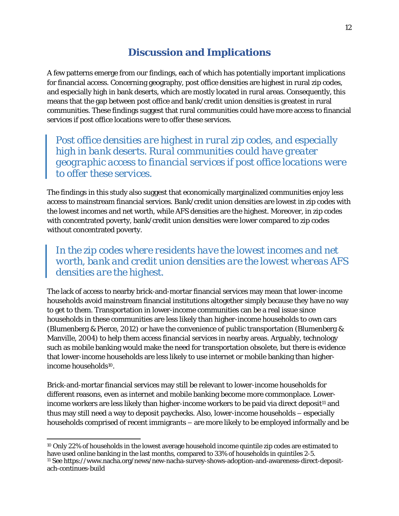## **Discussion and Implications**

A few patterns emerge from our findings, each of which has potentially important implications for financial access. Concerning geography, post office densities are highest in rural zip codes, and especially high in bank deserts, which are mostly located in rural areas. Consequently, this means that the gap between post office and bank/credit union densities is greatest in rural communities. These findings suggest that rural communities could have more access to financial services if post office locations were to offer these services.

*Post office densities are highest in rural zip codes, and especially high in bank deserts. Rural communities could have greater geographic access to financial services if post office locations were to offer these services*.

The findings in this study also suggest that economically marginalized communities enjoy less access to mainstream financial services. Bank/credit union densities are lowest in zip codes with the lowest incomes and net worth, while AFS densities are the highest. Moreover, in zip codes with concentrated poverty, bank/credit union densities were lower compared to zip codes without concentrated poverty.

## *In the zip codes where residents have the lowest incomes and net worth, bank and credit union densities are the lowest whereas AFS densities are the highest*.

The lack of access to nearby brick-and-mortar financial services may mean that lower-income households avoid mainstream financial institutions altogether simply because they have no way to get to them. Transportation in lower-income communities can be a real issue since households in these communities are less likely than higher-income households to own cars (Blumenberg & Pierce, 2012) or have the convenience of public transportation (Blumenberg & Manville, 2004) to help them access financial services in nearby areas. Arguably, technology such as mobile banking would make the need for transportation obsolete, but there is evidence that lower-income households are less likely to use internet or mobile banking than higherincome households10.

Brick-and-mortar financial services may still be relevant to lower-income households for different reasons, even as internet and mobile banking become more commonplace. Lowerincome workers are less likely than higher-income workers to be paid via direct deposit<sup>11</sup> and thus may still need a way to deposit paychecks. Also, lower-income households – especially households comprised of recent immigrants – are more likely to be employed informally and be

 $\overline{\phantom{a}}$ 

<sup>&</sup>lt;sup>10</sup> Only 22% of households in the lowest average household income quintile zip codes are estimated to have used online banking in the last months, compared to 33% of households in quintiles 2-5. <sup>11</sup> See https://www.nacha.org/news/new-nacha-survey-shows-adoption-and-awareness-direct-depositach-continues-build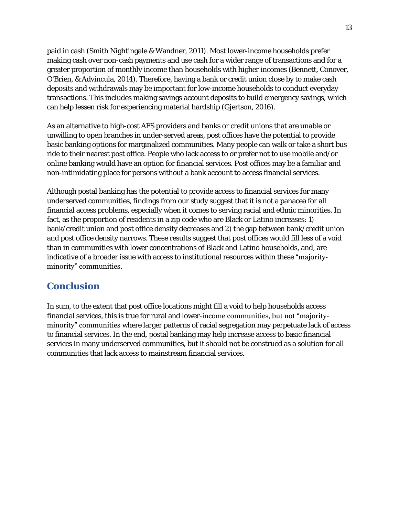paid in cash (Smith Nightingale & Wandner, 2011). Most lower-income households prefer making cash over non-cash payments and use cash for a wider range of transactions and for a greater proportion of monthly income than households with higher incomes (Bennett, Conover, O'Brien, & Advincula, 2014). Therefore, having a bank or credit union close by to make cash deposits and withdrawals may be important for low-income households to conduct everyday transactions. This includes making savings account deposits to build emergency savings, which can help lessen risk for experiencing material hardship (Gjertson, 2016).

As an alternative to high-cost AFS providers and banks or credit unions that are unable or unwilling to open branches in under-served areas, post offices have the potential to provide basic banking options for marginalized communities. Many people can walk or take a short bus ride to their nearest post office. People who lack access to or prefer not to use mobile and/or online banking would have an option for financial services. Post offices may be a familiar and non-intimidating place for persons without a bank account to access financial services.

Although postal banking has the potential to provide access to financial services for many underserved communities, findings from our study suggest that it is not a panacea for all financial access problems, especially when it comes to serving racial and ethnic minorities. In fact, as the proportion of residents in a zip code who are Black or Latino increases: 1) bank/credit union and post office density decreases and 2) the gap between bank/credit union and post office density narrows. These results suggest that post offices would fill less of a void than in communities with lower concentrations of Black and Latino households, and, are indicative of a broader issue with access to institutional resources within these "majorityminority" communities.

## **Conclusion**

In sum, to the extent that post office locations might fill a void to help households access financial services, this is true for rural and lower-income communities, but not "majorityminority" communities where larger patterns of racial segregation may perpetuate lack of access to financial services. In the end, postal banking may help increase access to basic financial services in many underserved communities, but it should not be construed as a solution for all communities that lack access to mainstream financial services.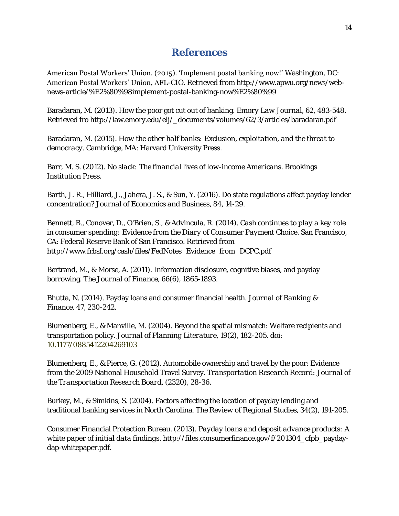#### **References**

American Postal Workers' Union. (2015). 'Implement postal banking now!' Washington, DC: American Postal Workers' Union, AFL-CIO. Retrieved from http://www.apwu.org/news/webnews-article/%E2%80%98implement-postal-banking-now%E2%80%99

Baradaran, M. (2013). How the poor got cut out of banking. *Emory Law Journal*, *62*, 483-548. Retrieved fro http://law.emory.edu/elj/\_documents/volumes/62/3/articles/baradaran.pdf

Baradaran, M. (2015). *How the other half banks: Exclusion, exploitation, and the threat to democracy*. Cambridge, MA: Harvard University Press.

Barr, M. S. (2012). *No slack: The financial lives of low-income Americans*. Brookings Institution Press.

Barth, J. R., Hilliard, J., Jahera, J. S., & Sun, Y. (2016). Do state regulations affect payday lender concentration? *Journal of Economics and Business*, *84*, 14-29.

Bennett, B., Conover, D., O'Brien, S., & Advincula, R. (2014). *Cash continues to play a key role in consumer spending: Evidence from the Diary of Consumer Payment Choice*. San Francisco, CA: Federal Reserve Bank of San Francisco. Retrieved from http://www.frbsf.org/cash/files/FedNotes\_Evidence\_from\_DCPC.pdf

Bertrand, M., & Morse, A. (2011). Information disclosure, cognitive biases, and payday borrowing. *The Journal of Finance*, *66*(6), 1865-1893.

Bhutta, N. (2014). Payday loans and consumer financial health. *Journal of Banking & Finance*, *47*, 230-242.

Blumenberg, E., & Manville, M. (2004). Beyond the spatial mismatch: Welfare recipients and transportation policy. *Journal of Planning Literature, 19*(2), 182-205. doi: 10.1177/0885412204269103

Blumenberg, E., & Pierce, G. (2012). Automobile ownership and travel by the poor: Evidence from the 2009 National Household Travel Survey. *Transportation Research Record: Journal of the Transportation Research Board*, (2320), 28-36.

Burkey, M., & Simkins, S. (2004). Factors affecting the location of payday lending and traditional banking services in North Carolina. *The Review of Regional Studies, 34*(2), 191-205.

Consumer Financial Protection Bureau. (2013). *Payday loans and deposit advance products: A white paper of initial data findings*. http://files.consumerfinance.gov/f/201304\_cfpb\_paydaydap-whitepaper.pdf.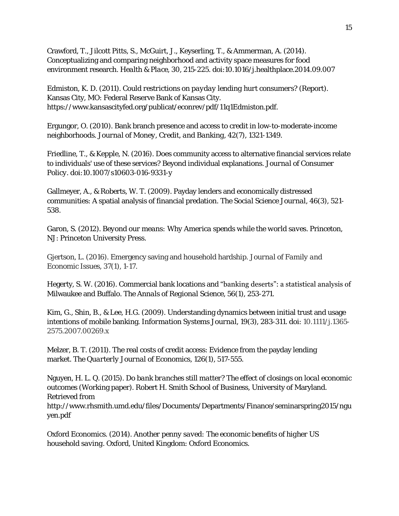Crawford, T., Jilcott Pitts, S., McGuirt, J., Keyserling, T., & Ammerman, A. (2014). Conceptualizing and comparing neighborhood and activity space measures for food environment research. *Health & Place, 30*, 215-225. doi[:10.1016/j.healthplace.2014.09.007](http://dx.doi.org/10.1016/j.healthplace.2014.09.007)

Edmiston, K. D. (2011). *Could restrictions on payday lending hurt consumers?* (Report). Kansas City, MO: Federal Reserve Bank of Kansas City. https://www.kansascityfed.org/publicat/econrev/pdf/11q1Edmiston.pdf.

Ergungor, O. (2010). Bank branch presence and access to credit in low-to-moderate-income neighborhoods. *Journal of Money, Credit, and Banking, 42*(7), 1321-1349.

Friedline, T., & Kepple, N. (2016). Does community access to alternative financial services relate to individuals' use of these services? Beyond individual explanations. *Journal of Consumer Policy*. doi:10.1007/s10603-016-9331-y

Gallmeyer, A., & Roberts, W. T. (2009). Payday lenders and economically distressed communities: A spatial analysis of financial predation. *The Social Science Journal*, *46*(3), 521- 538.

Garon, S. (2012). *Beyond our means: Why America spends while the world saves*. Princeton, NJ: Princeton University Press.

Gjertson, L. (2016). Emergency saving and household hardship. *Journal of Family and Economic Issues*, *37*(1), 1-17.

Hegerty, S. W. (2016). Commercial bank locations and "banking deserts": a statistical analysis of Milwaukee and Buffalo. *The Annals of Regional Science*, *56*(1), 253-271.

Kim, G., Shin, B., & Lee, H.G. (2009). Understanding dynamics between initial trust and usage intentions of mobile banking. *Information Systems Journal, 19*(3), 283-311. doi: 10.1111/j.1365- 2575.2007.00269.x

Melzer, B. T. (2011). The real costs of credit access: Evidence from the payday lending market. *The Quarterly Journal of Economics*, *126*(1), 517-555.

Nguyen, H. L. Q. (2015). *Do bank branches still matter? The effect of closings on local economic outcomes* (Working paper). Robert H. Smith School of Business, University of Maryland. Retrieved from

http://www.rhsmith.umd.edu/files/Documents/Departments/Finance/seminarspring2015/ngu yen.pdf

Oxford Economics. (2014). *Another penny saved: The economic benefits of higher US household saving*. Oxford, United Kingdom: Oxford Economics.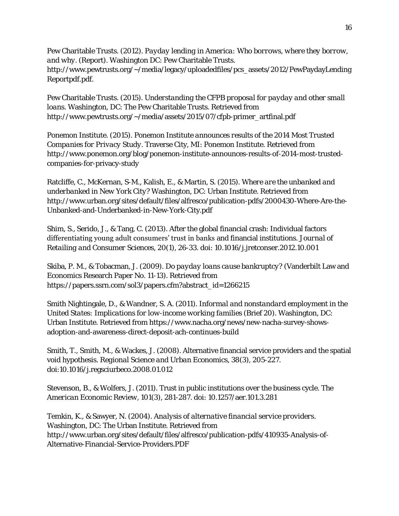Pew Charitable Trusts. (2012). *Payday lending in America: Who borrows, where they borrow, and why.* (Report). Washington DC: Pew Charitable Trusts. http://www.pewtrusts.org/~/media/legacy/uploadedfiles/pcs\_assets/2012/PewPaydayLending Reportpdf.pdf.

Pew Charitable Trusts. (2015). *Understanding the CFPB proposal for payday and other small loans*. Washington, DC: The Pew Charitable Trusts. Retrieved from http://www.pewtrusts.org/~/media/assets/2015/07/cfpb-primer\_artfinal.pdf

Ponemon Institute. (2015). *Ponemon Institute announces results of the 2014 Most Trusted Companies for Privacy Study*. Traverse City, MI: Ponemon Institute. Retrieved from http://www.ponemon.org/blog/ponemon-institute-announces-results-of-2014-most-trustedcompanies-for-privacy-study

Ratcliffe, C., McKernan, S-M., Kalish, E., & Martin, S. (2015). *Where are the unbanked and underbanked in New York City*? Washington, DC: Urban Institute. Retrieved from http://www.urban.org/sites/default/files/alfresco/publication-pdfs/2000430-Where-Are-the-Unbanked-and-Underbanked-in-New-York-City.pdf

Shim, S., Serido, J., & Tang, C. (2013). After the global financial crash: Individual factors differentiating young adult consumers' trust in banks and financial institutions. *Journal of Retailing and Consumer Sciences, 20*(1), 26-33. doi: [10.1016/j.jretconser.2012.10.001](http://dx.doi.org/10.1016/j.jretconser.2012.10.001)

Skiba, P. M., & Tobacman, J. (2009). *Do payday loans cause bankruptcy?* (Vanderbilt Law and Economics Research Paper No. 11-13). Retrieved from [https://papers.ssrn.com/sol3/papers.cfm?abstract\\_id=1266215](https://papers.ssrn.com/sol3/papers.cfm?abstract_id=1266215)

Smith Nightingale, D., & Wandner, S. A. (2011). *Informal and nonstandard employment in the United States: Implications for low-income working families* (Brief 20). Washington, DC: Urban Institute. Retrieved from https://www.nacha.org/news/new-nacha-survey-showsadoption-and-awareness-direct-deposit-ach-continues-build

Smith, T., Smith, M., & Wackes, J. (2008). Alternative financial service providers and the spatial void hypothesis. *Regional Science and Urban Economics, 38*(3), 205-227. doi[:10.1016/j.regsciurbeco.2008.01.012](http://dx.doi.org/10.1016/j.regsciurbeco.2008.01.012)

Stevenson, B., & Wolfers, J. (2011). Trust in public institutions over the business cycle. *The American Economic Review, 101*(3), 281-287. doi: [10.1257/aer.101.3.281](https://doi.org/10.1257/aer.101.3.281)

Temkin, K., & Sawyer, N. (2004). *Analysis of alternative financial service providers*. Washington, DC: The Urban Institute. Retrieved from http://www.urban.org/sites/default/files/alfresco/publication-pdfs/410935-Analysis-of-Alternative-Financial-Service-Providers.PDF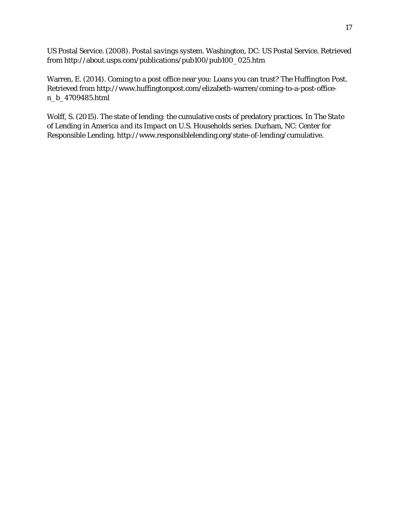US Postal Service. (2008). *Postal savings system*. Washington, DC: US Postal Service. Retrieved from http://about.usps.com/publications/pub100/pub100\_025.htm

Warren, E. (2014). Coming to a post office near you: Loans you can trust? *The Huffington Post*. Retrieved from [http://www.huffingtonpost.com/elizabeth-warren/coming-to-a-post-office](http://www.huffingtonpost.com/elizabeth-warren/coming-to-a-post-office-n_b_4709485.html)[n\\_b\\_4709485.html](http://www.huffingtonpost.com/elizabeth-warren/coming-to-a-post-office-n_b_4709485.html)

Wolff, S. (2015). The state of lending: the cumulative costs of predatory practices. In *The State of Lending in America and its Impact on U.S. Households* series. Durham, NC: Center for Responsible Lending. http://www.responsiblelending.org/state-of-lending/cumulative.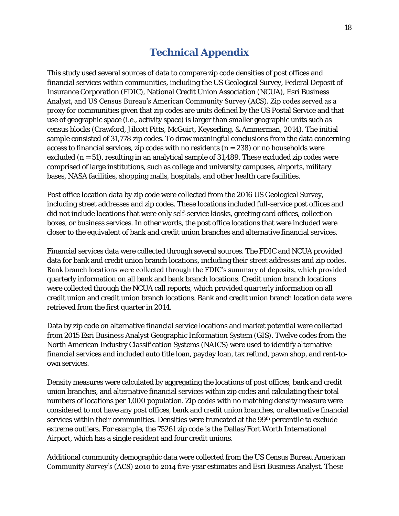## **Technical Appendix**

This study used several sources of data to compare zip code densities of post offices and financial services within communities, including the US Geological Survey, Federal Deposit of Insurance Corporation (FDIC), National Credit Union Association (NCUA), Esri Business Analyst, and US Census Bureau's American Community Survey (ACS). Zip codes served as a proxy for communities given that zip codes are units defined by the US Postal Service and that use of geographic space (i.e., activity space) is larger than smaller geographic units such as census blocks (Crawford, Jilcott Pitts, McGuirt, Keyserling, & Ammerman, 2014). The initial sample consisted of 31,778 zip codes. To draw meaningful conclusions from the data concerning access to financial services, zip codes with no residents (*n* = 238) or no households were excluded (*n* = 51), resulting in an analytical sample of 31,489. These excluded zip codes were comprised of large institutions, such as college and university campuses, airports, military bases, NASA facilities, shopping malls, hospitals, and other health care facilities.

Post office location data by zip code were collected from the 2016 US Geological Survey, including street addresses and zip codes. These locations included full-service post offices and did not include locations that were only self-service kiosks, greeting card offices, collection boxes, or business services. In other words, the post office locations that were included were closer to the equivalent of bank and credit union branches and alternative financial services.

Financial services data were collected through several sources. The FDIC and NCUA provided data for bank and credit union branch locations, including their street addresses and zip codes. Bank branch locations were collected through the FDIC's summary of deposits, which provided quarterly information on all bank and bank branch locations. Credit union branch locations were collected through the NCUA call reports, which provided quarterly information on all credit union and credit union branch locations. Bank and credit union branch location data were retrieved from the first quarter in 2014.

Data by zip code on alternative financial service locations and market potential were collected from 2015 Esri Business Analyst Geographic Information System (GIS). Twelve codes from the North American Industry Classification Systems (NAICS) were used to identify alternative financial services and included auto title loan, payday loan, tax refund, pawn shop, and rent-toown services.

Density measures were calculated by aggregating the locations of post offices, bank and credit union branches, and alternative financial services within zip codes and calculating their total numbers of locations per 1,000 population. Zip codes with no matching density measure were considered to not have any post offices, bank and credit union branches, or alternative financial services within their communities. Densities were truncated at the 99<sup>th</sup> percentile to exclude extreme outliers. For example, the 75261 zip code is the Dallas/Fort Worth International Airport, which has a single resident and four credit unions.

Additional community demographic data were collected from the US Census Bureau American Community Survey's (ACS) 2010 to 2014 five-year estimates and Esri Business Analyst. These